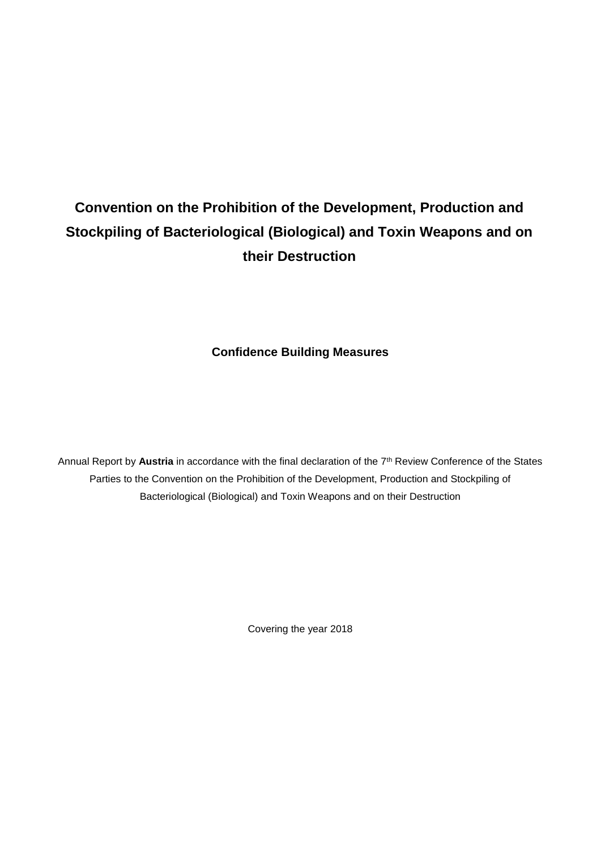# **Convention on the Prohibition of the Development, Production and Stockpiling of Bacteriological (Biological) and Toxin Weapons and on their Destruction**

**Confidence Building Measures**

Annual Report by Austria in accordance with the final declaration of the 7<sup>th</sup> Review Conference of the States Parties to the Convention on the Prohibition of the Development, Production and Stockpiling of Bacteriological (Biological) and Toxin Weapons and on their Destruction

Covering the year 2018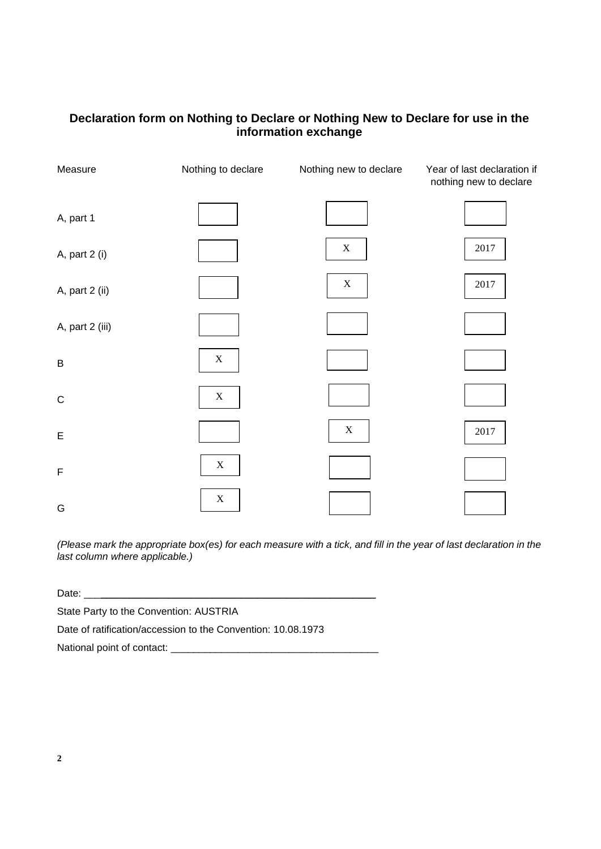## **Declaration form on Nothing to Declare or Nothing New to Declare for use in the information exchange**

| Measure         | Nothing to declare | Nothing new to declare    | Year of last declaration if<br>nothing new to declare |
|-----------------|--------------------|---------------------------|-------------------------------------------------------|
| A, part 1       |                    |                           |                                                       |
| A, part 2 (i)   |                    | $\boldsymbol{\mathrm{X}}$ | $2017\,$                                              |
| A, part 2 (ii)  |                    | $\mathbf X$               | $2017\,$                                              |
| A, part 2 (iii) |                    |                           |                                                       |
| $\sf B$         | $\mathbf X$        |                           |                                                       |
| $\mathsf C$     | $\mathbf X$        |                           |                                                       |
| E               |                    | $\mathbf X$               | $2017\,$                                              |
| F               | $\mathbf X$        |                           |                                                       |
| G               | $\mathbf X$        |                           |                                                       |

*(Please mark the appropriate box(es) for each measure with a tick, and fill in the year of last declaration in the last column where applicable.)*

Date:

State Party to the Convention: AUSTRIA

Date of ratification/accession to the Convention: 10.08.1973

National point of contact: \_\_\_\_\_\_\_\_\_\_\_\_\_\_\_\_\_\_\_\_\_\_\_\_\_\_\_\_\_\_\_\_\_\_\_\_\_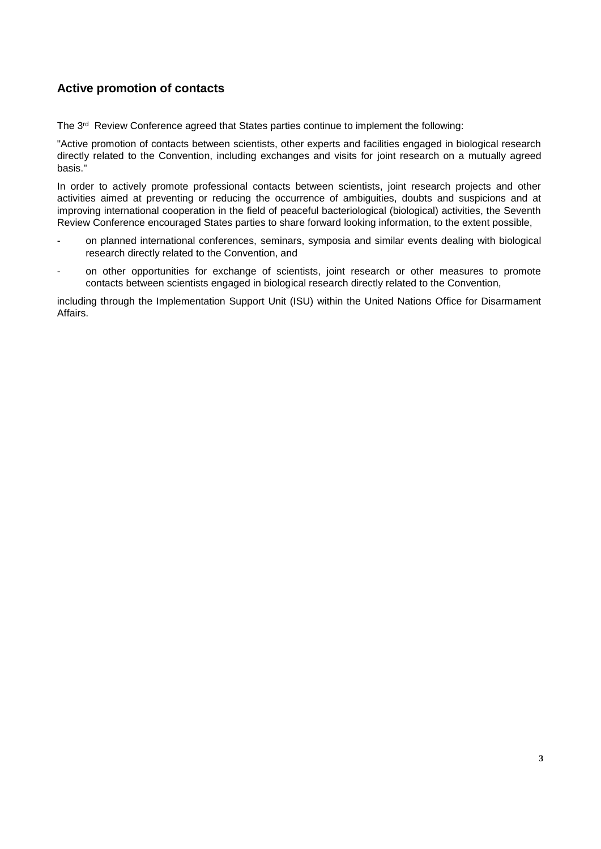### **Active promotion of contacts**

The 3<sup>rd</sup> Review Conference agreed that States parties continue to implement the following:

"Active promotion of contacts between scientists, other experts and facilities engaged in biological research directly related to the Convention, including exchanges and visits for joint research on a mutually agreed basis."

In order to actively promote professional contacts between scientists, joint research projects and other activities aimed at preventing or reducing the occurrence of ambiguities, doubts and suspicions and at improving international cooperation in the field of peaceful bacteriological (biological) activities, the Seventh Review Conference encouraged States parties to share forward looking information, to the extent possible,

- on planned international conferences, seminars, symposia and similar events dealing with biological research directly related to the Convention, and
- on other opportunities for exchange of scientists, joint research or other measures to promote contacts between scientists engaged in biological research directly related to the Convention,

including through the Implementation Support Unit (ISU) within the United Nations Office for Disarmament Affairs.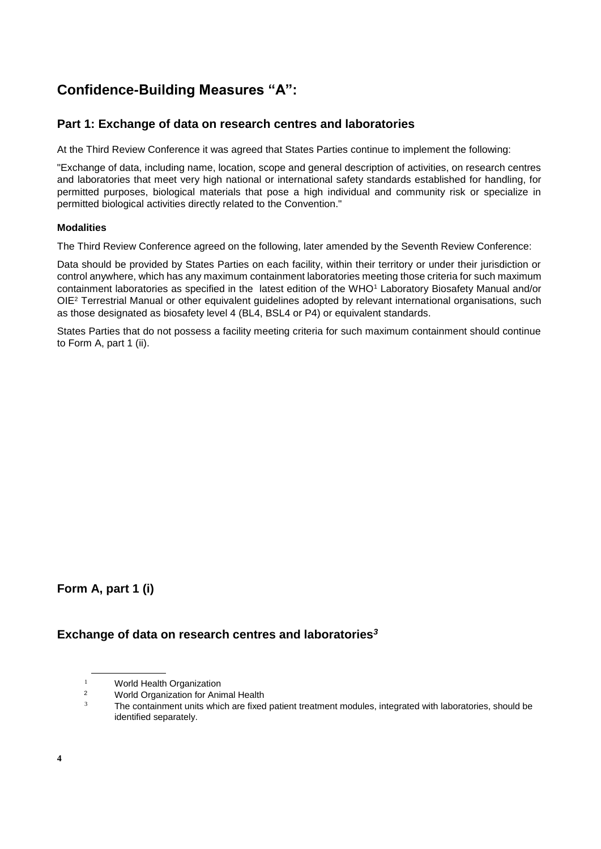## **Confidence-Building Measures "A":**

#### **Part 1: Exchange of data on research centres and laboratories**

At the Third Review Conference it was agreed that States Parties continue to implement the following:

"Exchange of data, including name, location, scope and general description of activities, on research centres and laboratories that meet very high national or international safety standards established for handling, for permitted purposes, biological materials that pose a high individual and community risk or specialize in permitted biological activities directly related to the Convention."

#### **Modalities**

The Third Review Conference agreed on the following, later amended by the Seventh Review Conference:

Data should be provided by States Parties on each facility, within their territory or under their jurisdiction or control anywhere, which has any maximum containment laboratories meeting those criteria for such maximum containment laboratories as specified in the latest edition of the WHO<sup>1</sup> Laboratory Biosafety Manual and/or OIE<sup>2</sup> Terrestrial Manual or other equivalent guidelines adopted by relevant international organisations, such as those designated as biosafety level 4 (BL4, BSL4 or P4) or equivalent standards.

States Parties that do not possess a facility meeting criteria for such maximum containment should continue to Form A, part 1 (ii).

**Form A, part 1 (i)**

#### **Exchange of data on research centres and laboratories***<sup>3</sup>*

<sup>&</sup>lt;sup>1</sup> World Health Organization

<sup>&</sup>lt;sup>2</sup> World Organization for Animal Health

The containment units which are fixed patient treatment modules, integrated with laboratories, should be identified separately.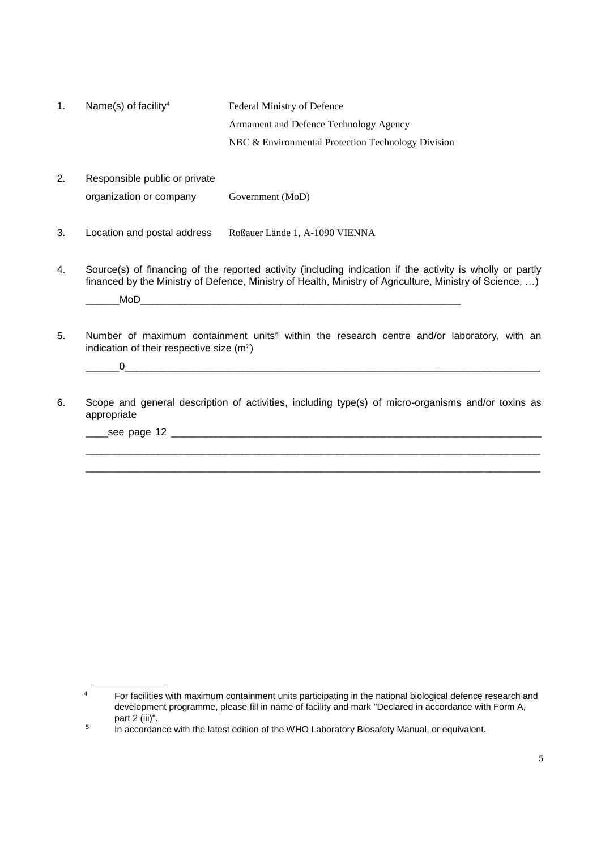| Name(s) of facility <sup>4</sup> | Federal Ministry of Defence                        |
|----------------------------------|----------------------------------------------------|
|                                  | Armament and Defence Technology Agency             |
|                                  | NBC & Environmental Protection Technology Division |

- 2. Responsible public or private organization or company Government (MoD)
- 3. Location and postal address Roßauer Lände 1, A-1090 VIENNA
- 4. Source(s) of financing of the reported activity (including indication if the activity is wholly or partly financed by the Ministry of Defence, Ministry of Health, Ministry of Agriculture, Ministry of Science, ...)  $\mathsf{Mod}$
- 5. Number of maximum containment units<sup>5</sup> within the research centre and/or laboratory, with an indication of their respective size  $(m<sup>2</sup>)$

\_\_\_\_\_\_0\_\_\_\_\_\_\_\_\_\_\_\_\_\_\_\_\_\_\_\_\_\_\_\_\_\_\_\_\_\_\_\_\_\_\_\_\_\_\_\_\_\_\_\_\_\_\_\_\_\_\_\_\_\_\_\_\_\_\_\_\_\_\_\_\_\_\_\_\_\_\_\_\_\_

6. Scope and general description of activities, including type(s) of micro-organisms and/or toxins as appropriate

\_\_\_\_\_\_\_\_\_\_\_\_\_\_\_\_\_\_\_\_\_\_\_\_\_\_\_\_\_\_\_\_\_\_\_\_\_\_\_\_\_\_\_\_\_\_\_\_\_\_\_\_\_\_\_\_\_\_\_\_\_\_\_\_\_\_\_\_\_\_\_\_\_\_\_\_\_\_\_\_\_ \_\_\_\_\_\_\_\_\_\_\_\_\_\_\_\_\_\_\_\_\_\_\_\_\_\_\_\_\_\_\_\_\_\_\_\_\_\_\_\_\_\_\_\_\_\_\_\_\_\_\_\_\_\_\_\_\_\_\_\_\_\_\_\_\_\_\_\_\_\_\_\_\_\_\_\_\_\_\_\_\_

\_\_\_\_see page 12 \_\_\_\_\_\_\_\_\_\_\_\_\_\_\_\_\_\_\_\_\_\_\_\_\_\_\_\_\_\_\_\_\_\_\_\_\_\_\_\_\_\_\_\_\_\_\_\_\_\_\_\_\_\_\_\_\_\_\_\_\_\_\_\_\_\_

<sup>&</sup>lt;sup>4</sup> For facilities with maximum containment units participating in the national biological defence research and development programme, please fill in name of facility and mark "Declared in accordance with Form A, part 2 (iii)".

<sup>5</sup> In accordance with the latest edition of the WHO Laboratory Biosafety Manual, or equivalent.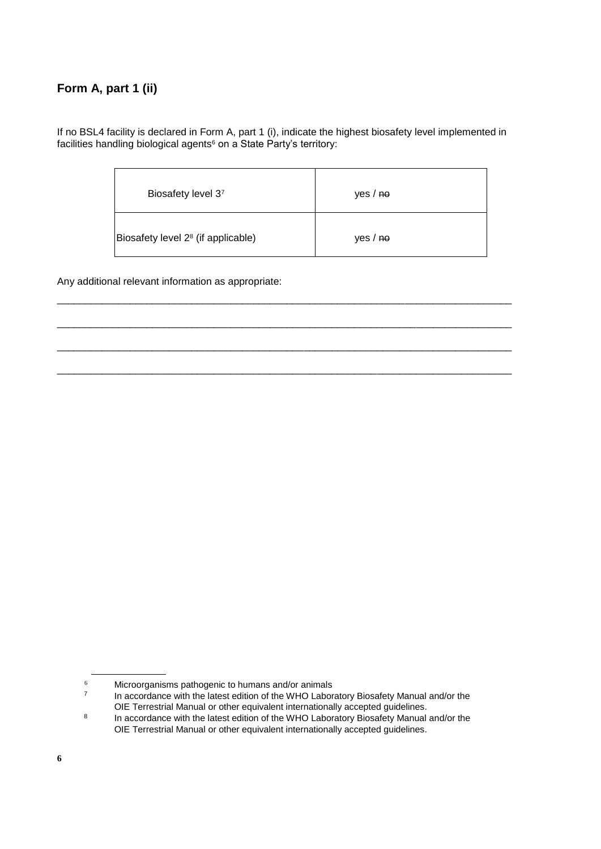## **Form A, part 1 (ii)**

If no BSL4 facility is declared in Form A, part 1 (i), indicate the highest biosafety level implemented in facilities handling biological agents<sup>6</sup> on a State Party's territory:

| Biosafety level 37                             | yes / <sub>ho</sub> |
|------------------------------------------------|---------------------|
| Biosafety level 2 <sup>8</sup> (if applicable) | yes / no            |

\_\_\_\_\_\_\_\_\_\_\_\_\_\_\_\_\_\_\_\_\_\_\_\_\_\_\_\_\_\_\_\_\_\_\_\_\_\_\_\_\_\_\_\_\_\_\_\_\_\_\_\_\_\_\_\_\_\_\_\_\_\_\_\_\_\_\_\_\_\_\_\_\_\_\_\_\_\_\_\_\_

\_\_\_\_\_\_\_\_\_\_\_\_\_\_\_\_\_\_\_\_\_\_\_\_\_\_\_\_\_\_\_\_\_\_\_\_\_\_\_\_\_\_\_\_\_\_\_\_\_\_\_\_\_\_\_\_\_\_\_\_\_\_\_\_\_\_\_\_\_\_\_\_\_\_\_\_\_\_\_\_\_

\_\_\_\_\_\_\_\_\_\_\_\_\_\_\_\_\_\_\_\_\_\_\_\_\_\_\_\_\_\_\_\_\_\_\_\_\_\_\_\_\_\_\_\_\_\_\_\_\_\_\_\_\_\_\_\_\_\_\_\_\_\_\_\_\_\_\_\_\_\_\_\_\_\_\_\_\_\_\_\_\_

\_\_\_\_\_\_\_\_\_\_\_\_\_\_\_\_\_\_\_\_\_\_\_\_\_\_\_\_\_\_\_\_\_\_\_\_\_\_\_\_\_\_\_\_\_\_\_\_\_\_\_\_\_\_\_\_\_\_\_\_\_\_\_\_\_\_\_\_\_\_\_\_\_\_\_\_\_\_\_\_\_

Any additional relevant information as appropriate:

<sup>6</sup> Microorganisms pathogenic to humans and/or animals

<sup>7</sup> In accordance with the latest edition of the WHO Laboratory Biosafety Manual and/or the OIE Terrestrial Manual or other equivalent internationally accepted guidelines.

<sup>8</sup> In accordance with the latest edition of the WHO Laboratory Biosafety Manual and/or the OIE Terrestrial Manual or other equivalent internationally accepted guidelines.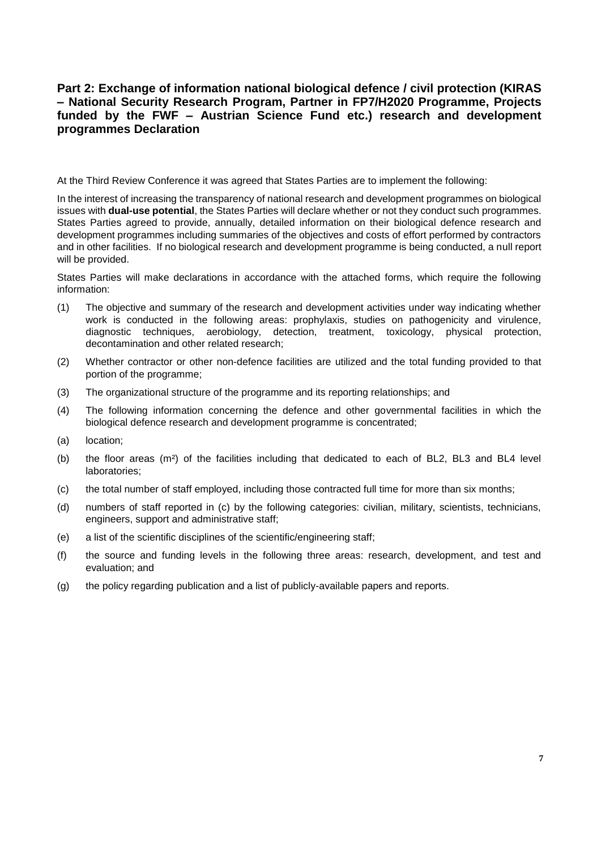#### **Part 2: Exchange of information national biological defence / civil protection (KIRAS – National Security Research Program, Partner in FP7/H2020 Programme, Projects funded by the FWF – Austrian Science Fund etc.) research and development programmes Declaration**

At the Third Review Conference it was agreed that States Parties are to implement the following:

In the interest of increasing the transparency of national research and development programmes on biological issues with **dual-use potential**, the States Parties will declare whether or not they conduct such programmes. States Parties agreed to provide, annually, detailed information on their biological defence research and development programmes including summaries of the objectives and costs of effort performed by contractors and in other facilities. If no biological research and development programme is being conducted, a null report will be provided.

States Parties will make declarations in accordance with the attached forms, which require the following information:

- (1) The objective and summary of the research and development activities under way indicating whether work is conducted in the following areas: prophylaxis, studies on pathogenicity and virulence, diagnostic techniques, aerobiology, detection, treatment, toxicology, physical protection, decontamination and other related research;
- (2) Whether contractor or other non-defence facilities are utilized and the total funding provided to that portion of the programme;
- (3) The organizational structure of the programme and its reporting relationships; and
- (4) The following information concerning the defence and other governmental facilities in which the biological defence research and development programme is concentrated;
- (a) location;
- (b) the floor areas (m²) of the facilities including that dedicated to each of BL2, BL3 and BL4 level laboratories;
- (c) the total number of staff employed, including those contracted full time for more than six months;
- (d) numbers of staff reported in (c) by the following categories: civilian, military, scientists, technicians, engineers, support and administrative staff;
- (e) a list of the scientific disciplines of the scientific/engineering staff;
- (f) the source and funding levels in the following three areas: research, development, and test and evaluation; and
- (g) the policy regarding publication and a list of publicly-available papers and reports.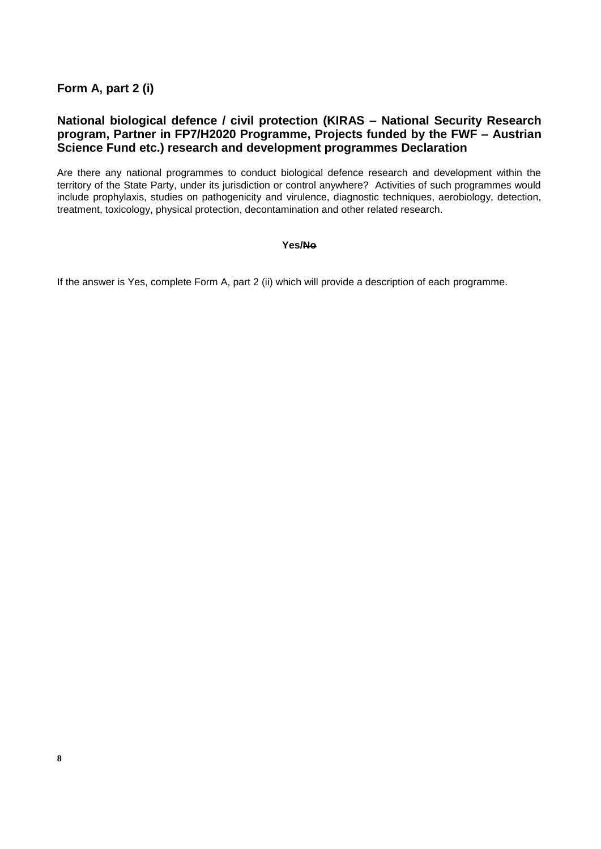**Form A, part 2 (i)**

#### **National biological defence / civil protection (KIRAS – National Security Research program, Partner in FP7/H2020 Programme, Projects funded by the FWF – Austrian Science Fund etc.) research and development programmes Declaration**

Are there any national programmes to conduct biological defence research and development within the territory of the State Party, under its jurisdiction or control anywhere? Activities of such programmes would include prophylaxis, studies on pathogenicity and virulence, diagnostic techniques, aerobiology, detection, treatment, toxicology, physical protection, decontamination and other related research.

#### **Yes/No**

If the answer is Yes, complete Form A, part 2 (ii) which will provide a description of each programme.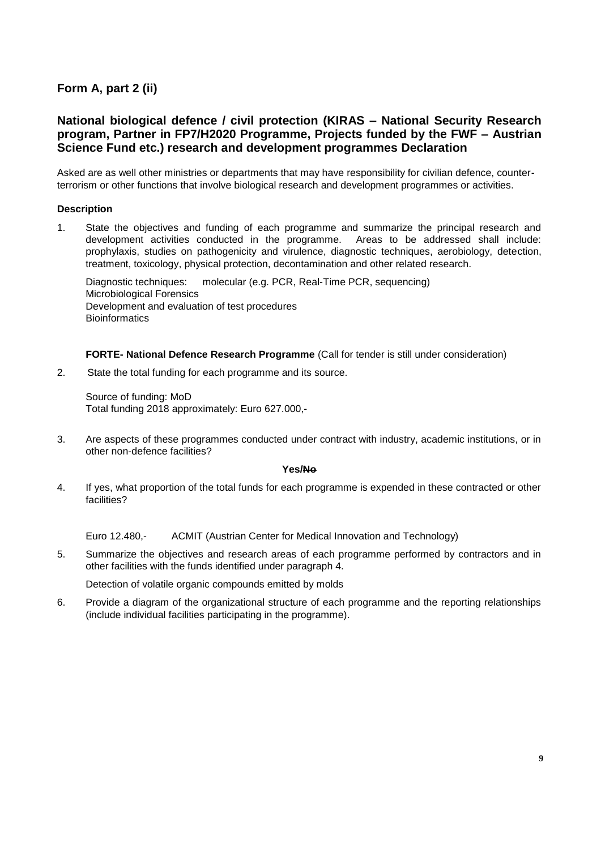### **Form A, part 2 (ii)**

#### **National biological defence / civil protection (KIRAS – National Security Research program, Partner in FP7/H2020 Programme, Projects funded by the FWF – Austrian Science Fund etc.) research and development programmes Declaration**

Asked are as well other ministries or departments that may have responsibility for civilian defence, counterterrorism or other functions that involve biological research and development programmes or activities.

#### **Description**

1. State the objectives and funding of each programme and summarize the principal research and development activities conducted in the programme. Areas to be addressed shall include: prophylaxis, studies on pathogenicity and virulence, diagnostic techniques, aerobiology, detection, treatment, toxicology, physical protection, decontamination and other related research.

Diagnostic techniques: molecular (e.g. PCR, Real-Time PCR, sequencing) Microbiological Forensics Development and evaluation of test procedures **Bioinformatics** 

**FORTE- National Defence Research Programme** (Call for tender is still under consideration)

2. State the total funding for each programme and its source.

Source of funding: MoD Total funding 2018 approximately: Euro 627.000,-

3. Are aspects of these programmes conducted under contract with industry, academic institutions, or in other non-defence facilities?

#### **Yes/No**

4. If yes, what proportion of the total funds for each programme is expended in these contracted or other facilities?

Euro 12.480,- ACMIT (Austrian Center for Medical Innovation and Technology)

5. Summarize the objectives and research areas of each programme performed by contractors and in other facilities with the funds identified under paragraph 4.

Detection of volatile organic compounds emitted by molds

6. Provide a diagram of the organizational structure of each programme and the reporting relationships (include individual facilities participating in the programme).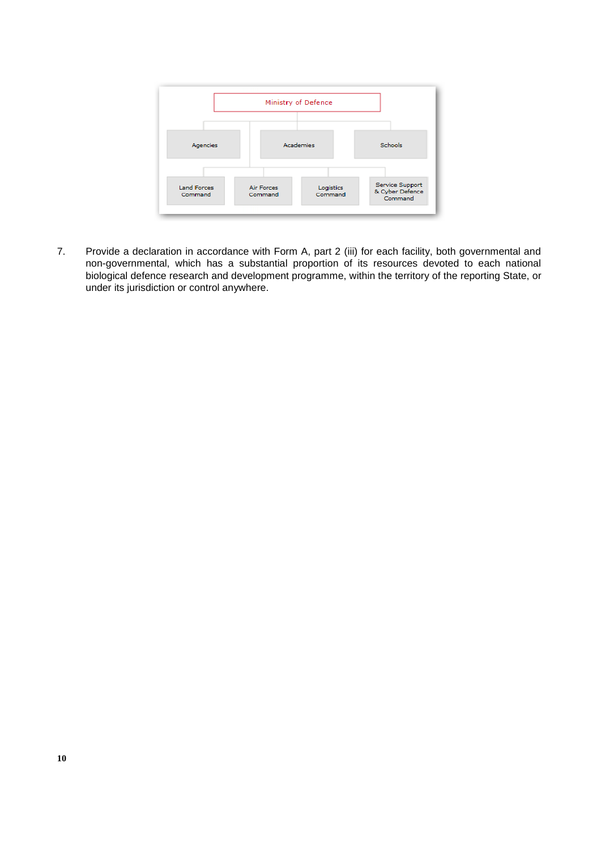

7. Provide a declaration in accordance with Form A, part 2 (iii) for each facility, both governmental and non-governmental, which has a substantial proportion of its resources devoted to each national biological defence research and development programme, within the territory of the reporting State, or under its jurisdiction or control anywhere.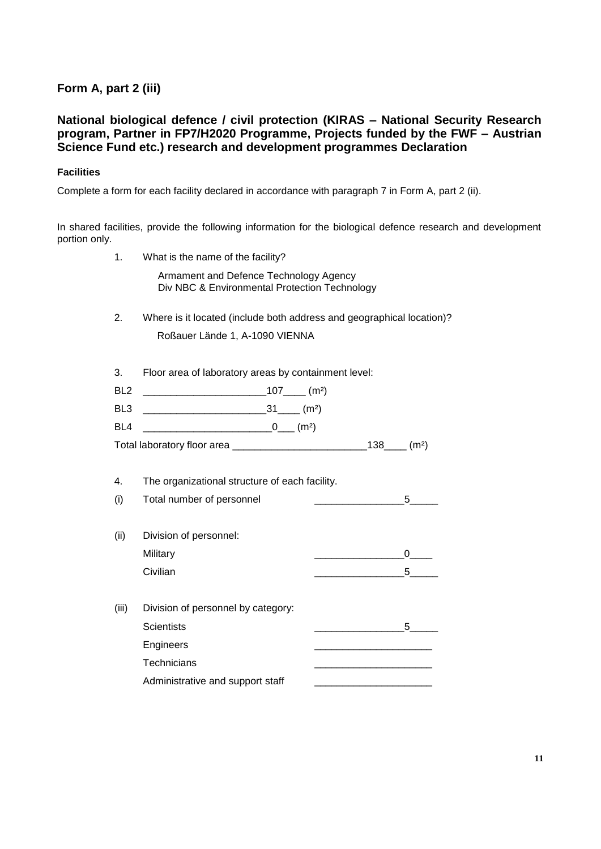## **Form A, part 2 (iii)**

#### **National biological defence / civil protection (KIRAS – National Security Research program, Partner in FP7/H2020 Programme, Projects funded by the FWF – Austrian Science Fund etc.) research and development programmes Declaration**

#### **Facilities**

Complete a form for each facility declared in accordance with paragraph 7 in Form A, part 2 (ii).

In shared facilities, provide the following information for the biological defence research and development portion only.

| 1.              | What is the name of the facility?                                                       |                                                                          |  |
|-----------------|-----------------------------------------------------------------------------------------|--------------------------------------------------------------------------|--|
|                 | Armament and Defence Technology Agency<br>Div NBC & Environmental Protection Technology |                                                                          |  |
| 2.              | Where is it located (include both address and geographical location)?                   |                                                                          |  |
|                 | Roßauer Lände 1, A-1090 VIENNA                                                          |                                                                          |  |
| 3.              | Floor area of laboratory areas by containment level:                                    |                                                                          |  |
| BL <sub>2</sub> |                                                                                         |                                                                          |  |
| BL3             |                                                                                         |                                                                          |  |
| BL4             | $\underbrace{\hspace{2.5cm}0\qquad\hspace{2.8cm}}$ (m <sup>2</sup> )                    |                                                                          |  |
|                 |                                                                                         |                                                                          |  |
|                 |                                                                                         |                                                                          |  |
| 4.              | The organizational structure of each facility.                                          |                                                                          |  |
| (i)             | Total number of personnel                                                               | $5^{\circ}$                                                              |  |
| (ii)            | Division of personnel:                                                                  |                                                                          |  |
|                 | Military                                                                                | $\underbrace{\hspace{2.5cm}}\hspace{2.5cm} 0 \underline{\hspace{2.5cm}}$ |  |
|                 | Civilian                                                                                |                                                                          |  |
| (iii)           | Division of personnel by category:                                                      |                                                                          |  |
|                 | <b>Scientists</b>                                                                       |                                                                          |  |
|                 | Engineers                                                                               |                                                                          |  |
|                 | Technicians                                                                             |                                                                          |  |
|                 | Administrative and support staff                                                        |                                                                          |  |
|                 |                                                                                         |                                                                          |  |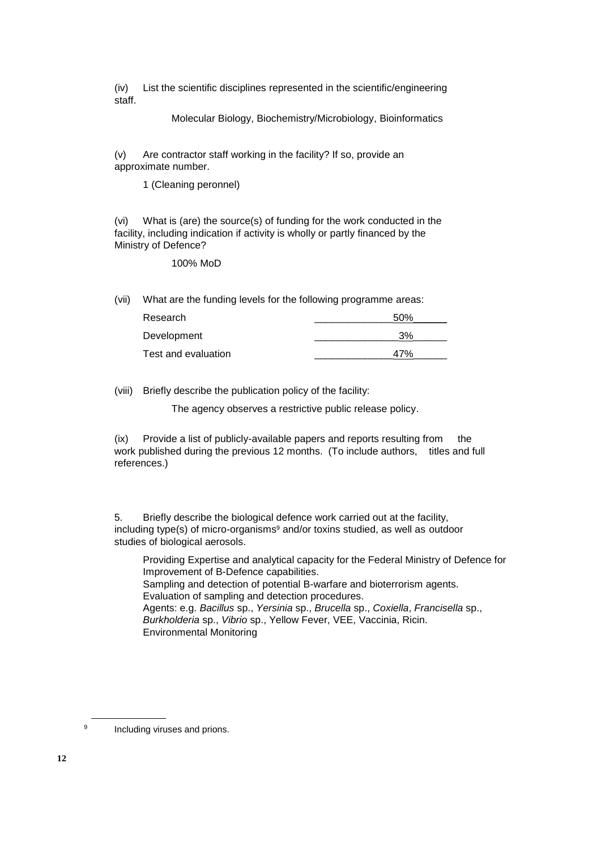(iv) List the scientific disciplines represented in the scientific/engineering staff.

Molecular Biology, Biochemistry/Microbiology, Bioinformatics

(v) Are contractor staff working in the facility? If so, provide an approximate number.

1 (Cleaning peronnel)

(vi) What is (are) the source(s) of funding for the work conducted in the facility, including indication if activity is wholly or partly financed by the Ministry of Defence?

100% MoD

(vii) What are the funding levels for the following programme areas:

| Research            | 50% |
|---------------------|-----|
| Development         | 3%  |
| Test and evaluation | 47% |

(viii) Briefly describe the publication policy of the facility:

The agency observes a restrictive public release policy.

(ix) Provide a list of publicly-available papers and reports resulting from the work published during the previous 12 months. (To include authors, titles and full references.)

5. Briefly describe the biological defence work carried out at the facility, including type(s) of micro-organisms<sup>9</sup> and/or toxins studied, as well as outdoor studies of biological aerosols.

Providing Expertise and analytical capacity for the Federal Ministry of Defence for Improvement of B-Defence capabilities. Sampling and detection of potential B-warfare and bioterrorism agents. Evaluation of sampling and detection procedures. Agents: e.g. *Bacillus* sp., *Yersinia* sp., *Brucella* sp., *Coxiella*, *Francisella* sp., *Burkholderia* sp., *Vibrio* sp., Yellow Fever, VEE, Vaccinia, Ricin. Environmental Monitoring

9 Including viruses and prions.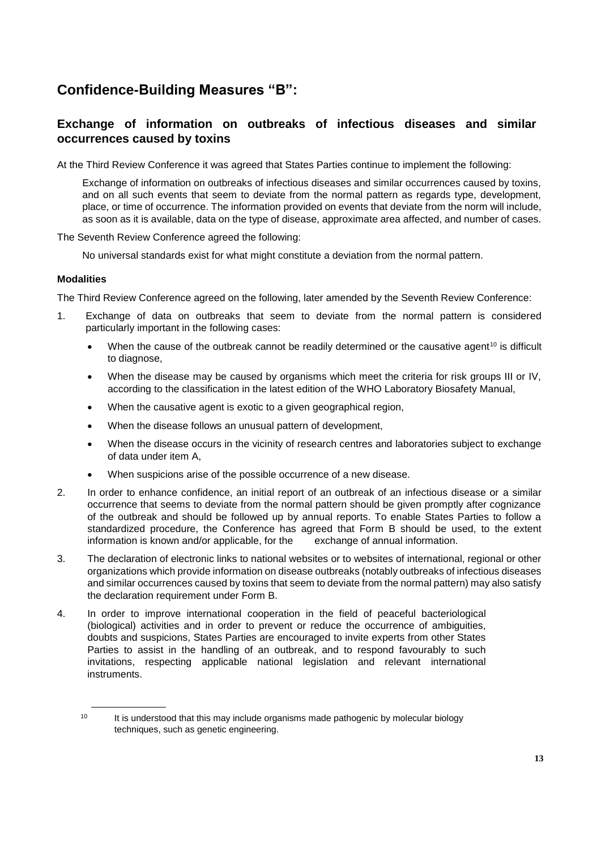## **Confidence-Building Measures "B":**

#### **Exchange of information on outbreaks of infectious diseases and similar occurrences caused by toxins**

At the Third Review Conference it was agreed that States Parties continue to implement the following:

Exchange of information on outbreaks of infectious diseases and similar occurrences caused by toxins, and on all such events that seem to deviate from the normal pattern as regards type, development, place, or time of occurrence. The information provided on events that deviate from the norm will include, as soon as it is available, data on the type of disease, approximate area affected, and number of cases.

The Seventh Review Conference agreed the following:

No universal standards exist for what might constitute a deviation from the normal pattern.

#### **Modalities**

The Third Review Conference agreed on the following, later amended by the Seventh Review Conference:

- 1. Exchange of data on outbreaks that seem to deviate from the normal pattern is considered particularly important in the following cases:
	- When the cause of the outbreak cannot be readily determined or the causative agent<sup>10</sup> is difficult to diagnose,
	- When the disease may be caused by organisms which meet the criteria for risk groups III or IV, according to the classification in the latest edition of the WHO Laboratory Biosafety Manual,
	- When the causative agent is exotic to a given geographical region,
	- When the disease follows an unusual pattern of development,
	- When the disease occurs in the vicinity of research centres and laboratories subject to exchange of data under item A,
	- When suspicions arise of the possible occurrence of a new disease.
- 2. In order to enhance confidence, an initial report of an outbreak of an infectious disease or a similar occurrence that seems to deviate from the normal pattern should be given promptly after cognizance of the outbreak and should be followed up by annual reports. To enable States Parties to follow a standardized procedure, the Conference has agreed that Form B should be used, to the extent information is known and/or applicable, for the exchange of annual information.
- 3. The declaration of electronic links to national websites or to websites of international, regional or other organizations which provide information on disease outbreaks (notably outbreaks of infectious diseases and similar occurrences caused by toxins that seem to deviate from the normal pattern) may also satisfy the declaration requirement under Form B.
- 4. In order to improve international cooperation in the field of peaceful bacteriological (biological) activities and in order to prevent or reduce the occurrence of ambiguities, doubts and suspicions, States Parties are encouraged to invite experts from other States Parties to assist in the handling of an outbreak, and to respond favourably to such invitations, respecting applicable national legislation and relevant international instruments.

<sup>&</sup>lt;sup>10</sup> It is understood that this may include organisms made pathogenic by molecular biology techniques, such as genetic engineering.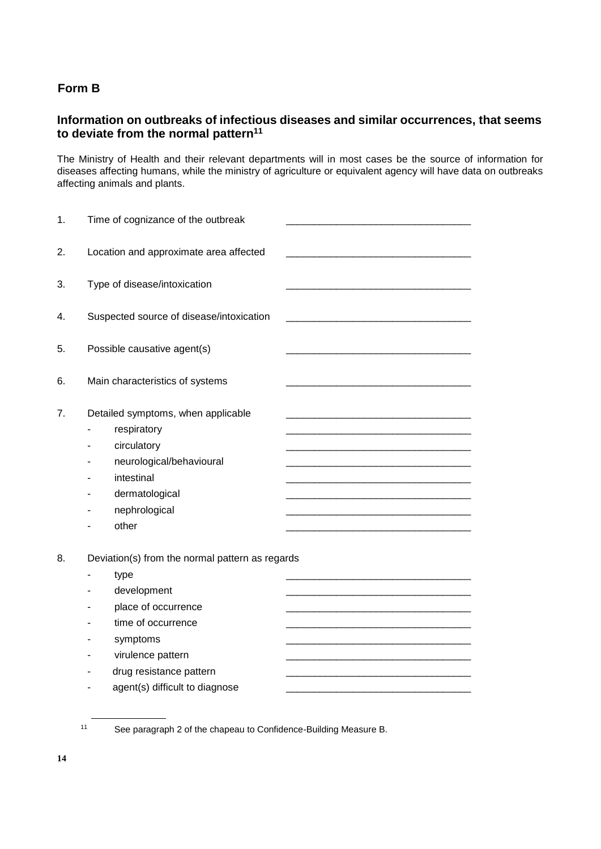## **Form B**

### **Information on outbreaks of infectious diseases and similar occurrences, that seems to deviate from the normal pattern<sup>11</sup>**

The Ministry of Health and their relevant departments will in most cases be the source of information for diseases affecting humans, while the ministry of agriculture or equivalent agency will have data on outbreaks affecting animals and plants.

| 1. | Time of cognizance of the outbreak              |  |
|----|-------------------------------------------------|--|
|    |                                                 |  |
| 2. | Location and approximate area affected          |  |
|    |                                                 |  |
| 3. | Type of disease/intoxication                    |  |
| 4. | Suspected source of disease/intoxication        |  |
|    |                                                 |  |
| 5. | Possible causative agent(s)                     |  |
|    |                                                 |  |
| 6. | Main characteristics of systems                 |  |
|    |                                                 |  |
| 7. | Detailed symptoms, when applicable              |  |
|    | respiratory                                     |  |
|    | circulatory                                     |  |
|    | neurological/behavioural                        |  |
|    | intestinal                                      |  |
|    | dermatological                                  |  |
|    | nephrological                                   |  |
|    | other                                           |  |
|    |                                                 |  |
| 8. | Deviation(s) from the normal pattern as regards |  |
|    | type                                            |  |
|    | development                                     |  |
|    | place of occurrence                             |  |
|    | time of occurrence                              |  |
|    | symptoms                                        |  |
|    | virulence pattern                               |  |
|    | drug resistance pattern                         |  |
|    | agent(s) difficult to diagnose                  |  |
|    |                                                 |  |

<sup>11</sup> See paragraph 2 of the chapeau to Confidence-Building Measure B.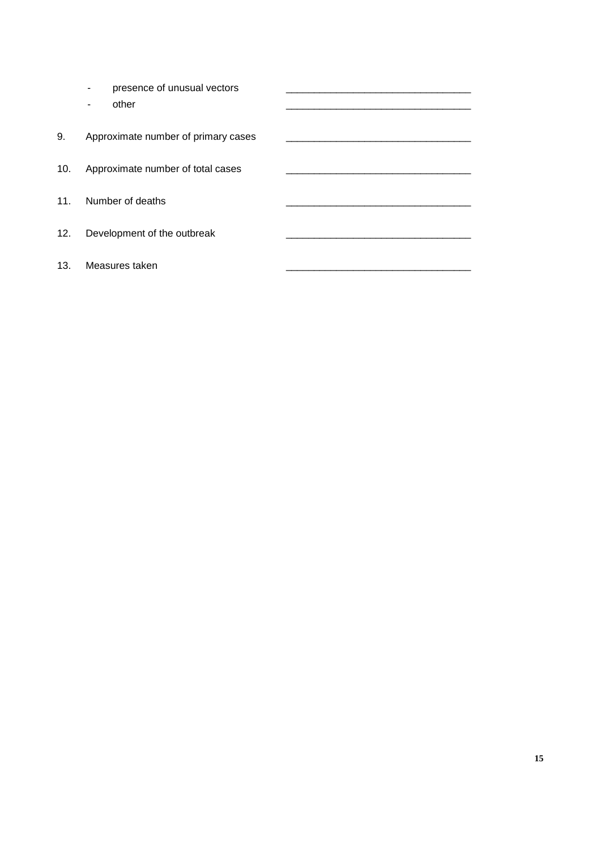|     | presence of unusual vectors<br>other |  |
|-----|--------------------------------------|--|
| 9.  | Approximate number of primary cases  |  |
| 10. | Approximate number of total cases    |  |
| 11. | Number of deaths                     |  |
| 12. | Development of the outbreak          |  |
| 13. | Measures taken                       |  |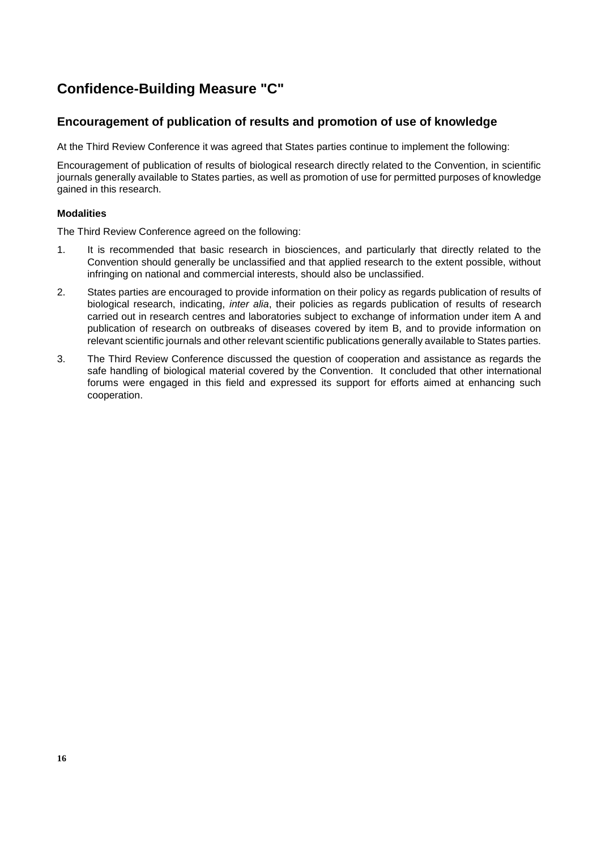## **Confidence-Building Measure "C"**

#### **Encouragement of publication of results and promotion of use of knowledge**

At the Third Review Conference it was agreed that States parties continue to implement the following:

Encouragement of publication of results of biological research directly related to the Convention, in scientific journals generally available to States parties, as well as promotion of use for permitted purposes of knowledge gained in this research.

#### **Modalities**

The Third Review Conference agreed on the following:

- 1. It is recommended that basic research in biosciences, and particularly that directly related to the Convention should generally be unclassified and that applied research to the extent possible, without infringing on national and commercial interests, should also be unclassified.
- 2. States parties are encouraged to provide information on their policy as regards publication of results of biological research, indicating, *inter alia*, their policies as regards publication of results of research carried out in research centres and laboratories subject to exchange of information under item A and publication of research on outbreaks of diseases covered by item B, and to provide information on relevant scientific journals and other relevant scientific publications generally available to States parties.
- 3. The Third Review Conference discussed the question of cooperation and assistance as regards the safe handling of biological material covered by the Convention. It concluded that other international forums were engaged in this field and expressed its support for efforts aimed at enhancing such cooperation.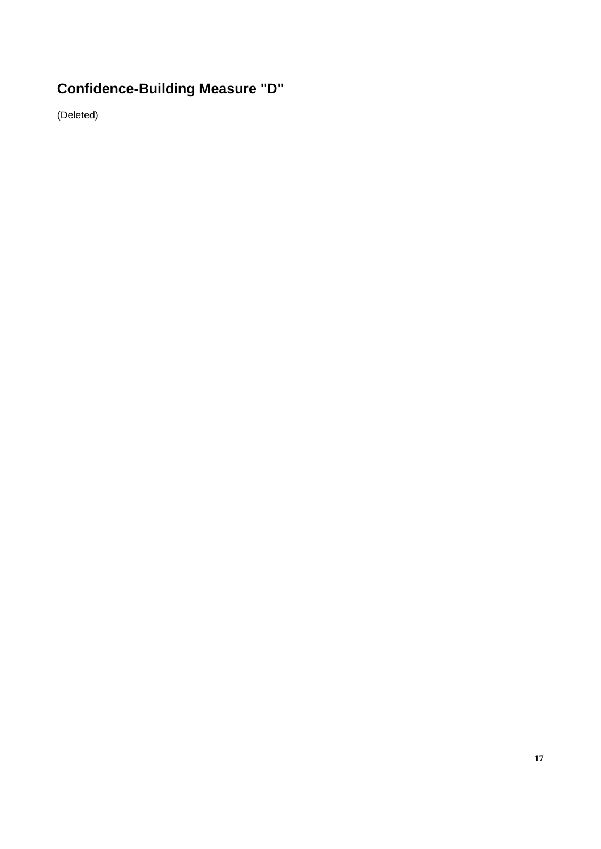# **Confidence-Building Measure "D"**

(Deleted)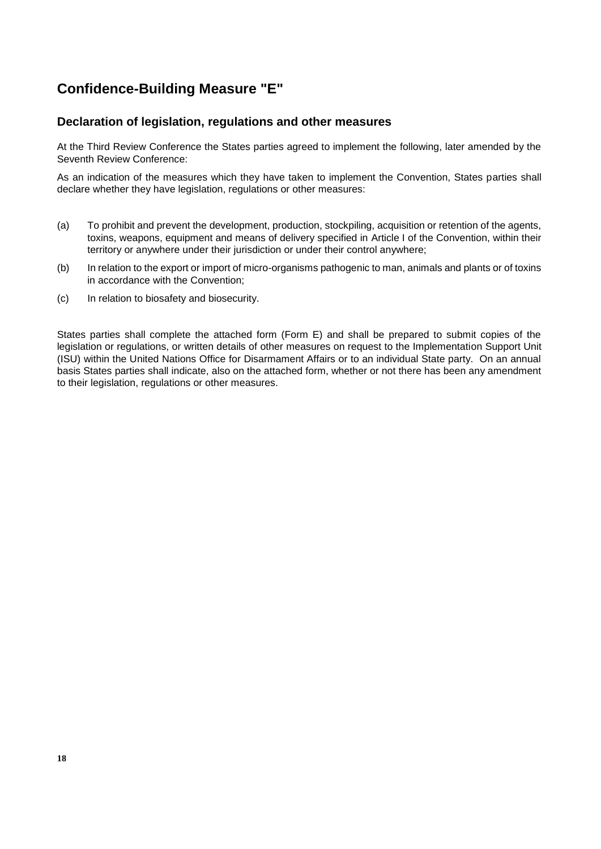## **Confidence-Building Measure "E"**

#### **Declaration of legislation, regulations and other measures**

At the Third Review Conference the States parties agreed to implement the following, later amended by the Seventh Review Conference:

As an indication of the measures which they have taken to implement the Convention, States parties shall declare whether they have legislation, regulations or other measures:

- (a) To prohibit and prevent the development, production, stockpiling, acquisition or retention of the agents, toxins, weapons, equipment and means of delivery specified in Article I of the Convention, within their territory or anywhere under their jurisdiction or under their control anywhere;
- (b) In relation to the export or import of micro-organisms pathogenic to man, animals and plants or of toxins in accordance with the Convention;
- (c) In relation to biosafety and biosecurity.

States parties shall complete the attached form (Form E) and shall be prepared to submit copies of the legislation or regulations, or written details of other measures on request to the Implementation Support Unit (ISU) within the United Nations Office for Disarmament Affairs or to an individual State party. On an annual basis States parties shall indicate, also on the attached form, whether or not there has been any amendment to their legislation, regulations or other measures.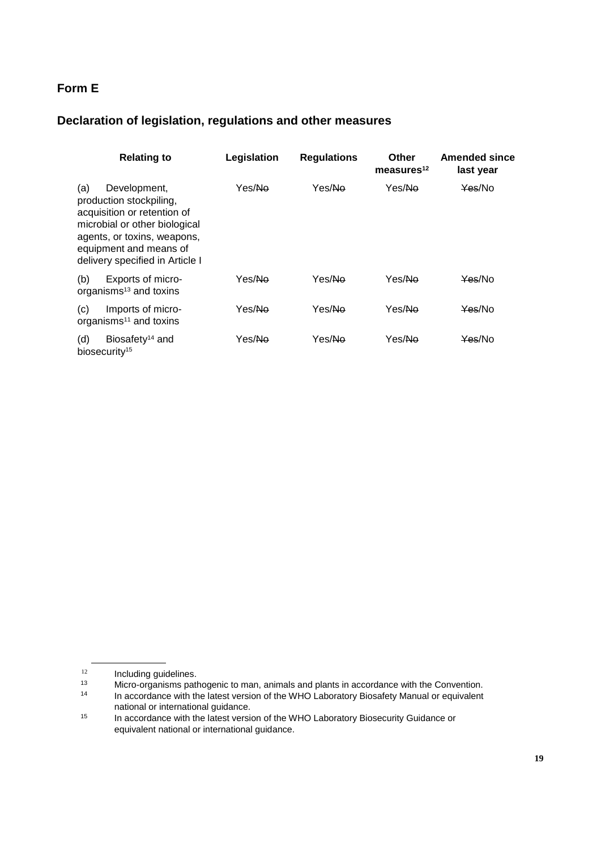## **Form E**

## **Declaration of legislation, regulations and other measures**

| <b>Relating to</b>                                                                                                                                                                                         | Legislation        | <b>Regulations</b> | Other<br>measures $12$ | <b>Amended since</b><br>last year |
|------------------------------------------------------------------------------------------------------------------------------------------------------------------------------------------------------------|--------------------|--------------------|------------------------|-----------------------------------|
| (a)<br>Development,<br>production stockpiling,<br>acquisition or retention of<br>microbial or other biological<br>agents, or toxins, weapons,<br>equipment and means of<br>delivery specified in Article I | Yes/Ne             | Yes/No             | Yes/Ne                 | Yes/No                            |
| (b)<br>Exports of micro-<br>organisms <sup>13</sup> and toxins                                                                                                                                             | Yes/ <del>No</del> | Yes/Ne             | Yes/Ne                 | Yes/No                            |
| Imports of micro-<br>(c)<br>organisms $11$ and toxins                                                                                                                                                      | Yes/Ne             | Yes/Ne             | Yes/Ne                 | Yes/No                            |
| (d)<br>Biosafety <sup>14</sup> and<br>biosecurity <sup>15</sup>                                                                                                                                            | Yes/No             | Yes/ <del>No</del> | Yes/Ne                 | Yes/No                            |

 $12$  Including guidelines.<br> $13$  Micro-organisms path

<sup>13</sup> Micro-organisms pathogenic to man, animals and plants in accordance with the Convention.<br>14 In accordance with the latest version of the WHO Laboratory Biosafety Manual or equivalent

In accordance with the latest version of the WHO Laboratory Biosafety Manual or equivalent national or international guidance.

<sup>&</sup>lt;sup>15</sup> In accordance with the latest version of the WHO Laboratory Biosecurity Guidance or equivalent national or international guidance.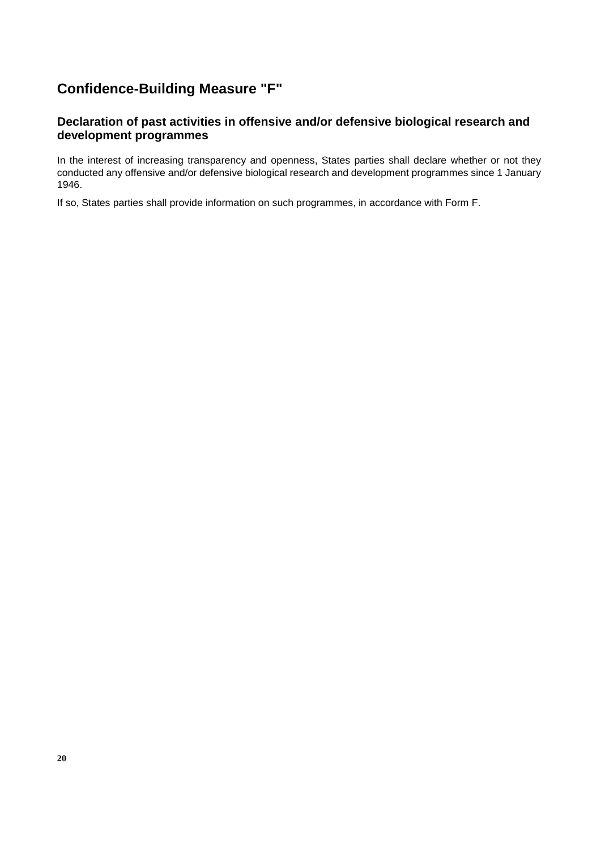## **Confidence-Building Measure "F"**

#### **Declaration of past activities in offensive and/or defensive biological research and development programmes**

In the interest of increasing transparency and openness, States parties shall declare whether or not they conducted any offensive and/or defensive biological research and development programmes since 1 January 1946.

If so, States parties shall provide information on such programmes, in accordance with Form F.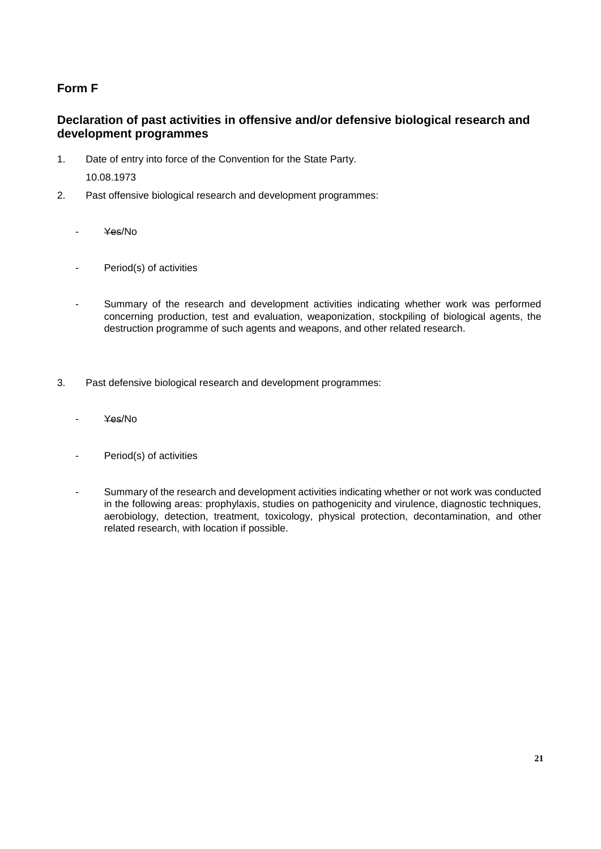## **Form F**

#### **Declaration of past activities in offensive and/or defensive biological research and development programmes**

- 1. Date of entry into force of the Convention for the State Party. 10.08.1973
- 2. Past offensive biological research and development programmes:
	- Yes/No
	- Period(s) of activities
	- Summary of the research and development activities indicating whether work was performed concerning production, test and evaluation, weaponization, stockpiling of biological agents, the destruction programme of such agents and weapons, and other related research.
- 3. Past defensive biological research and development programmes:
	- Yes/No
	- Period(s) of activities
	- Summary of the research and development activities indicating whether or not work was conducted in the following areas: prophylaxis, studies on pathogenicity and virulence, diagnostic techniques, aerobiology, detection, treatment, toxicology, physical protection, decontamination, and other related research, with location if possible.